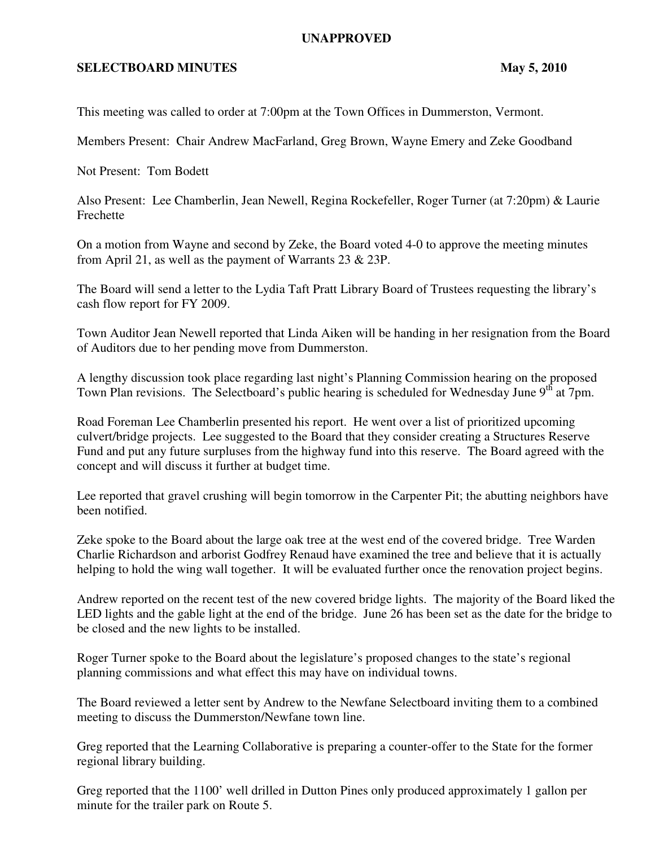## **UNAPPROVED**

## **SELECTBOARD MINUTES** May 5, 2010

This meeting was called to order at 7:00pm at the Town Offices in Dummerston, Vermont.

Members Present: Chair Andrew MacFarland, Greg Brown, Wayne Emery and Zeke Goodband

Not Present: Tom Bodett

Also Present: Lee Chamberlin, Jean Newell, Regina Rockefeller, Roger Turner (at 7:20pm) & Laurie Frechette

On a motion from Wayne and second by Zeke, the Board voted 4-0 to approve the meeting minutes from April 21, as well as the payment of Warrants 23 & 23P.

The Board will send a letter to the Lydia Taft Pratt Library Board of Trustees requesting the library's cash flow report for FY 2009.

Town Auditor Jean Newell reported that Linda Aiken will be handing in her resignation from the Board of Auditors due to her pending move from Dummerston.

A lengthy discussion took place regarding last night's Planning Commission hearing on the proposed Town Plan revisions. The Selectboard's public hearing is scheduled for Wednesday June  $9<sup>th</sup>$  at 7pm.

Road Foreman Lee Chamberlin presented his report. He went over a list of prioritized upcoming culvert/bridge projects. Lee suggested to the Board that they consider creating a Structures Reserve Fund and put any future surpluses from the highway fund into this reserve. The Board agreed with the concept and will discuss it further at budget time.

Lee reported that gravel crushing will begin tomorrow in the Carpenter Pit; the abutting neighbors have been notified.

Zeke spoke to the Board about the large oak tree at the west end of the covered bridge. Tree Warden Charlie Richardson and arborist Godfrey Renaud have examined the tree and believe that it is actually helping to hold the wing wall together. It will be evaluated further once the renovation project begins.

Andrew reported on the recent test of the new covered bridge lights. The majority of the Board liked the LED lights and the gable light at the end of the bridge. June 26 has been set as the date for the bridge to be closed and the new lights to be installed.

Roger Turner spoke to the Board about the legislature's proposed changes to the state's regional planning commissions and what effect this may have on individual towns.

The Board reviewed a letter sent by Andrew to the Newfane Selectboard inviting them to a combined meeting to discuss the Dummerston/Newfane town line.

Greg reported that the Learning Collaborative is preparing a counter-offer to the State for the former regional library building.

Greg reported that the 1100' well drilled in Dutton Pines only produced approximately 1 gallon per minute for the trailer park on Route 5.